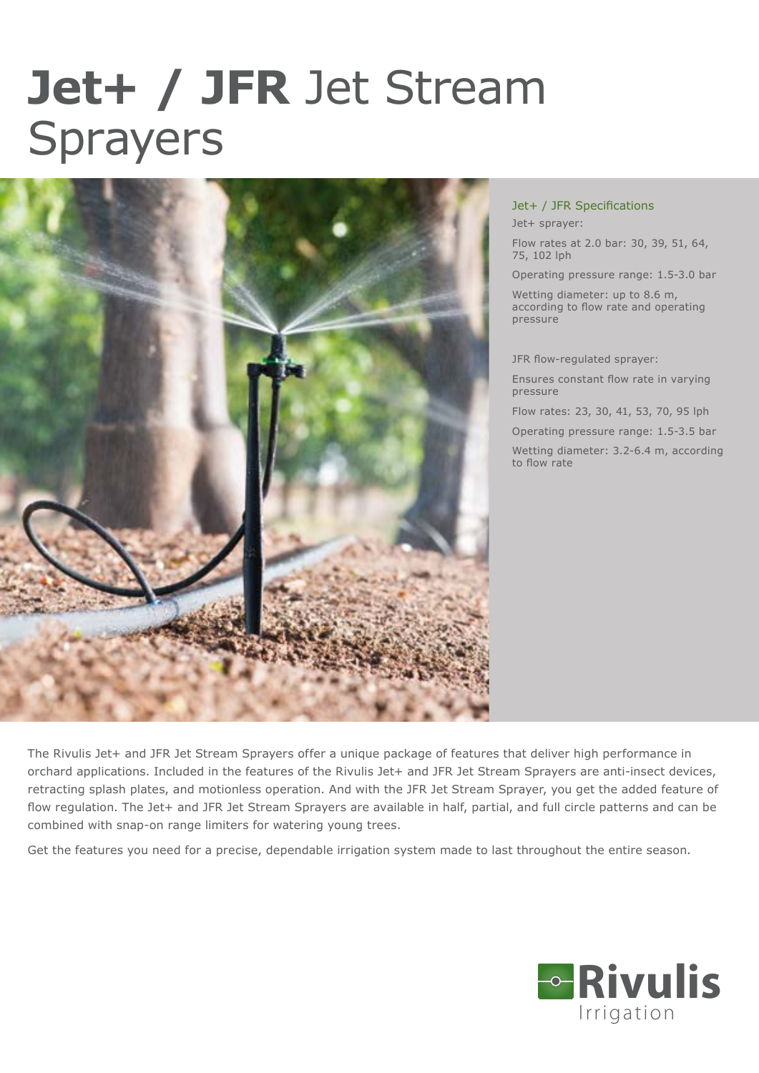## **Jet+ / JFR** Jet Stream Sprayers



Jet+ / JFR Specifications Jet+ sprayer:

Flow rates at 2.0 bar: 30, 39, 51, 64, 75, 102 lph

Operating pressure range: 1.5-3.0 bar

Wetting diameter: up to 8.6 m, according to flow rate and operating pressure

JFR flow-regulated sprayer:

Ensures constant flow rate in varying pressure

Flow rates: 23, 30, 41, 53, 70, 95 lph

Operating pressure range: 1.5-3.5 bar

Wetting diameter: 3.2-6.4 m, according to flow rate

The Rivulis Jet+ and JFR Jet Stream Sprayers offer a unique package of features that deliver high performance in orchard applications. Included in the features of the Rivulis Jet+ and JFR Jet Stream Sprayers are anti-insect devices, retracting splash plates, and motionless operation. And with the JFR Jet Stream Sprayer, you get the added feature of flow regulation. The Jet+ and JFR Jet Stream Sprayers are available in half, partial, and full circle patterns and can be combined with snap-on range limiters for watering young trees.

Get the features you need for a precise, dependable irrigation system made to last throughout the entire season.